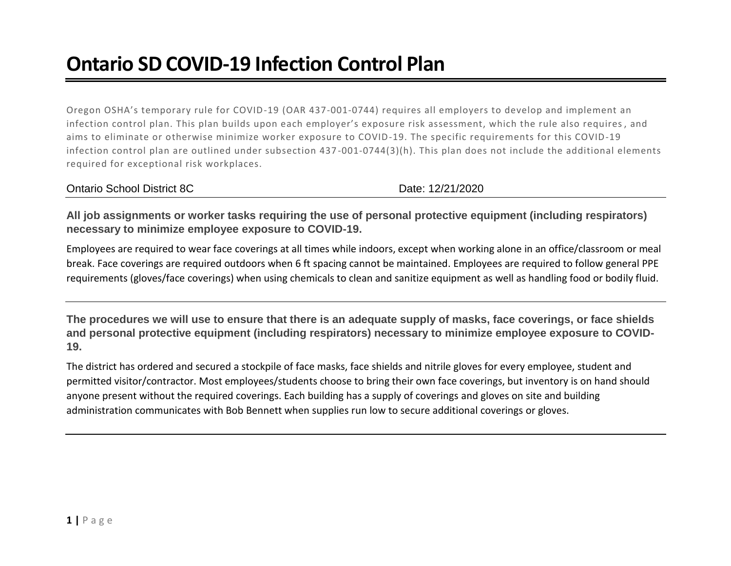## **Ontario SD COVID-19 Infection Control Plan**

Oregon OSHA's temporary rule for COVID-19 (OAR 437-001-0744) requires all employers to develop and implement an infection control plan. This plan builds upon each employer's exposure risk assessment, which the rule also requires , and aims to eliminate or otherwise minimize worker exposure to COVID-19. The specific requirements for this COVID-19 infection control plan are outlined under subsection 437 -001-0744(3)(h). This plan does not include the additional elements required for exceptional risk workplaces.

Date: 12/21/2020

**All job assignments or worker tasks requiring the use of personal protective equipment (including respirators) necessary to minimize employee exposure to COVID-19.**

Employees are required to wear face coverings at all times while indoors, except when working alone in an office/classroom or meal break. Face coverings are required outdoors when 6 ft spacing cannot be maintained. Employees are required to follow general PPE requirements (gloves/face coverings) when using chemicals to clean and sanitize equipment as well as handling food or bodily fluid.

**The procedures we will use to ensure that there is an adequate supply of masks, face coverings, or face shields and personal protective equipment (including respirators) necessary to minimize employee exposure to COVID-19.**

The district has ordered and secured a stockpile of face masks, face shields and nitrile gloves for every employee, student and permitted visitor/contractor. Most employees/students choose to bring their own face coverings, but inventory is on hand should anyone present without the required coverings. Each building has a supply of coverings and gloves on site and building administration communicates with Bob Bennett when supplies run low to secure additional coverings or gloves.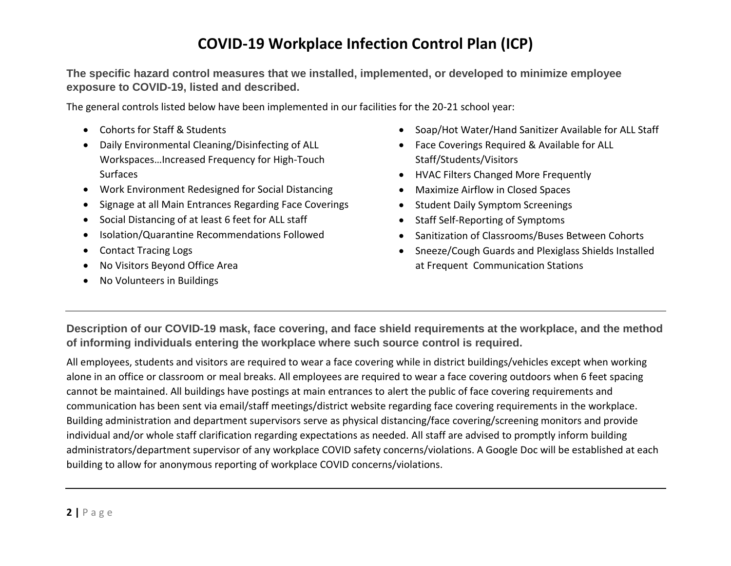## **COVID-19 Workplace Infection Control Plan (ICP)**

**The specific hazard control measures that we installed, implemented, or developed to minimize employee exposure to COVID-19, listed and described.**

The general controls listed below have been implemented in our facilities for the 20-21 school year:

- Cohorts for Staff & Students
- Daily Environmental Cleaning/Disinfecting of ALL Workspaces…Increased Frequency for High-Touch Surfaces
- Work Environment Redesigned for Social Distancing
- Signage at all Main Entrances Regarding Face Coverings
- Social Distancing of at least 6 feet for ALL staff
- Isolation/Quarantine Recommendations Followed
- Contact Tracing Logs
- No Visitors Beyond Office Area
- No Volunteers in Buildings
- Soap/Hot Water/Hand Sanitizer Available for ALL Staff
- Face Coverings Required & Available for ALL Staff/Students/Visitors
- HVAC Filters Changed More Frequently
- Maximize Airflow in Closed Spaces
- Student Daily Symptom Screenings
- Staff Self-Reporting of Symptoms
- Sanitization of Classrooms/Buses Between Cohorts
- Sneeze/Cough Guards and Plexiglass Shields Installed at Frequent Communication Stations

**Description of our COVID-19 mask, face covering, and face shield requirements at the workplace, and the method of informing individuals entering the workplace where such source control is required.**

All employees, students and visitors are required to wear a face covering while in district buildings/vehicles except when working alone in an office or classroom or meal breaks. All employees are required to wear a face covering outdoors when 6 feet spacing cannot be maintained. All buildings have postings at main entrances to alert the public of face covering requirements and communication has been sent via email/staff meetings/district website regarding face covering requirements in the workplace. Building administration and department supervisors serve as physical distancing/face covering/screening monitors and provide individual and/or whole staff clarification regarding expectations as needed. All staff are advised to promptly inform building administrators/department supervisor of any workplace COVID safety concerns/violations. A Google Doc will be established at each building to allow for anonymous reporting of workplace COVID concerns/violations.